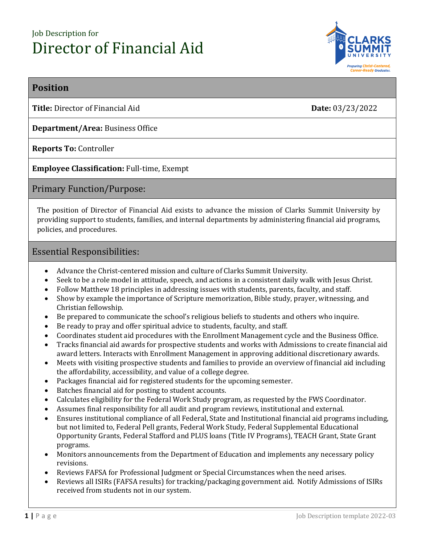# Job Description for Director of Financial Aid



# **Position**

**Title:** Director of Financial Aid **Date:** 03/23/2022

**Department/Area:** Business Office

**Reports To:** Controller

**Employee Classification:** Full-time, Exempt

# Primary Function/Purpose:

The position of Director of Financial Aid exists to advance the mission of Clarks Summit University by providing support to students, families, and internal departments by administering financial aid programs, policies, and procedures.

## Essential Responsibilities:

- Advance the Christ-centered mission and culture of Clarks Summit University.
- Seek to be a role model in attitude, speech, and actions in a consistent daily walk with Jesus Christ.
- Follow Matthew 18 principles in addressing issues with students, parents, faculty, and staff.
- Show by example the importance of Scripture memorization, Bible study, prayer, witnessing, and Christian fellowship.
- Be prepared to communicate the school's religious beliefs to students and others who inquire.
- Be ready to pray and offer spiritual advice to students, faculty, and staff.
- Coordinates student aid procedures with the Enrollment Management cycle and the Business Office.
- Tracks financial aid awards for prospective students and works with Admissions to create financial aid award letters. Interacts with Enrollment Management in approving additional discretionary awards.
- Meets with visiting prospective students and families to provide an overview of financial aid including the affordability, accessibility, and value of a college degree.
- Packages financial aid for registered students for the upcoming semester.
- Batches financial aid for posting to student accounts.
- Calculates eligibility for the Federal Work Study program, as requested by the FWS Coordinator.
- Assumes final responsibility for all audit and program reviews, institutional and external.
- Ensures institutional compliance of all Federal, State and Institutional financial aid programs including, but not limited to, Federal Pell grants, Federal Work Study, Federal Supplemental Educational Opportunity Grants, Federal Stafford and PLUS loans (Title IV Programs), TEACH Grant, State Grant programs.
- Monitors announcements from the Department of Education and implements any necessary policy revisions.
- Reviews FAFSA for Professional Judgment or Special Circumstances when the need arises.
- Reviews all ISIRs (FAFSA results) for tracking/packaging government aid. Notify Admissions of ISIRs received from students not in our system.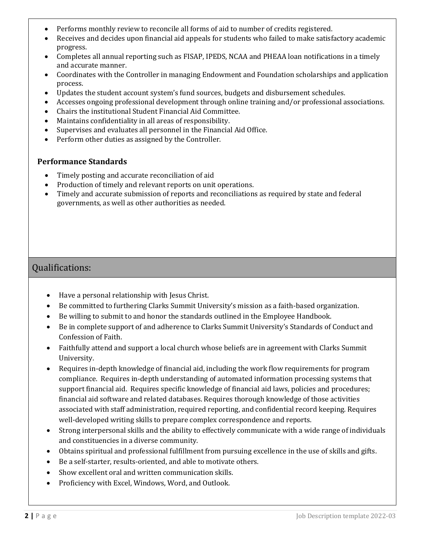- Performs monthly review to reconcile all forms of aid to number of credits registered.
- Receives and decides upon financial aid appeals for students who failed to make satisfactory academic progress.
- Completes all annual reporting such as FISAP, IPEDS, NCAA and PHEAA loan notifications in a timely and accurate manner.
- Coordinates with the Controller in managing Endowment and Foundation scholarships and application process.
- Updates the student account system's fund sources, budgets and disbursement schedules.
- Accesses ongoing professional development through online training and/or professional associations.
- Chairs the institutional Student Financial Aid Committee.
- Maintains confidentiality in all areas of responsibility.
- Supervises and evaluates all personnel in the Financial Aid Office.
- Perform other duties as assigned by the Controller.

## **Performance Standards**

- Timely posting and accurate reconciliation of aid
- Production of timely and relevant reports on unit operations.
- Timely and accurate submission of reports and reconciliations as required by state and federal governments, as well as other authorities as needed.

# Qualifications:

- Have a personal relationship with Jesus Christ.
- Be committed to furthering Clarks Summit University's mission as a faith-based organization.
- Be willing to submit to and honor the standards outlined in the Employee Handbook.
- Be in complete support of and adherence to Clarks Summit University's Standards of Conduct and Confession of Faith.
- Faithfully attend and support a local church whose beliefs are in agreement with Clarks Summit University.
- Requires in-depth knowledge of financial aid, including the work flow requirements for program compliance. Requires in-depth understanding of automated information processing systems that support financial aid. Requires specific knowledge of financial aid laws, policies and procedures; financial aid software and related databases. Requires thorough knowledge of those activities associated with staff administration, required reporting, and confidential record keeping. Requires well-developed writing skills to prepare complex correspondence and reports.
- Strong interpersonal skills and the ability to effectively communicate with a wide range of individuals and constituencies in a diverse community.
- Obtains spiritual and professional fulfillment from pursuing excellence in the use of skills and gifts.
- Be a self-starter, results-oriented, and able to motivate others.
- Show excellent oral and written communication skills.
- Proficiency with Excel, Windows, Word, and Outlook.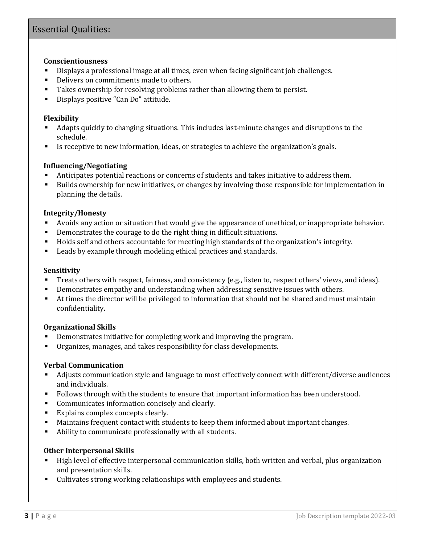# Essential Qualities:

#### **Conscientiousness**

- Displays a professional image at all times, even when facing significant job challenges.
- Delivers on commitments made to others.
- Takes ownership for resolving problems rather than allowing them to persist.
- Displays positive "Can Do" attitude.

#### **Flexibility**

- Adapts quickly to changing situations. This includes last-minute changes and disruptions to the schedule.
- Is receptive to new information, ideas, or strategies to achieve the organization's goals.

#### **Influencing/Negotiating**

- Anticipates potential reactions or concerns of students and takes initiative to address them.
- Builds ownership for new initiatives, or changes by involving those responsible for implementation in planning the details.

#### **Integrity/Honesty**

- Avoids any action or situation that would give the appearance of unethical, or inappropriate behavior.
- Demonstrates the courage to do the right thing in difficult situations.
- Holds self and others accountable for meeting high standards of the organization's integrity.
- Leads by example through modeling ethical practices and standards.

#### **Sensitivity**

- Treats others with respect, fairness, and consistency (e.g., listen to, respect others' views, and ideas).
- **•** Demonstrates empathy and understanding when addressing sensitive issues with others.
- At times the director will be privileged to information that should not be shared and must maintain confidentiality.

#### **Organizational Skills**

- Demonstrates initiative for completing work and improving the program.
- Organizes, manages, and takes responsibility for class developments.

#### **Verbal Communication**

- Adjusts communication style and language to most effectively connect with different/diverse audiences and individuals.
- Follows through with the students to ensure that important information has been understood.
- Communicates information concisely and clearly.
- Explains complex concepts clearly.
- Maintains frequent contact with students to keep them informed about important changes.
- Ability to communicate professionally with all students.

#### **Other Interpersonal Skills**

- High level of effective interpersonal communication skills, both written and verbal, plus organization and presentation skills.
- Cultivates strong working relationships with employees and students.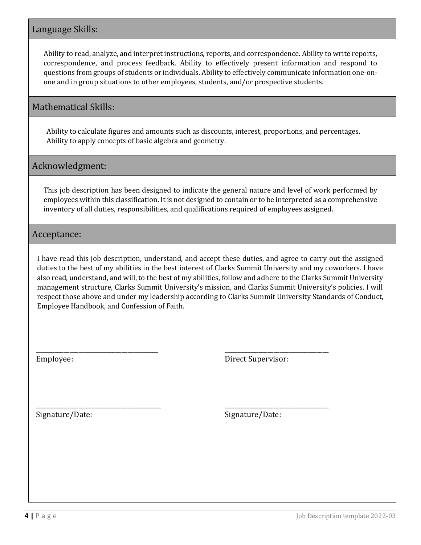# Language Skills:

Ability to read, analyze, and interpret instructions, reports, and correspondence. Ability to write reports, correspondence, and process feedback. Ability to effectively present information and respond to questions from groups of students or individuals. Ability to effectively communicate information one-onone and in group situations to other employees, students, and/or prospective students.

# Mathematical Skills:

Ability to calculate figures and amounts such as discounts, interest, proportions, and percentages. Ability to apply concepts of basic algebra and geometry.

# Acknowledgment:

This job description has been designed to indicate the general nature and level of work performed by employees within this classification. It is not designed to contain or to be interpreted as a comprehensive inventory of all duties, responsibilities, and qualifications required of employees assigned.

Acceptance:

I have read this job description, understand, and accept these duties, and agree to carry out the assigned duties to the best of my abilities in the best interest of Clarks Summit University and my coworkers. I have also read, understand, and will, to the best of my abilities, follow and adhere to the Clarks Summit University management structure, Clarks Summit University's mission, and Clarks Summit University's policies. I will respect those above and under my leadership according to Clarks Summit University Standards of Conduct, Employee Handbook, and Confession of Faith.

Employee:

\_\_\_\_\_\_\_\_\_\_\_\_\_\_\_\_\_\_\_\_\_\_\_\_\_\_\_\_\_\_\_\_\_\_\_\_\_\_\_\_

\_\_\_\_\_\_\_\_\_\_\_\_\_\_\_\_\_\_\_\_\_\_\_\_\_\_\_\_\_\_\_\_\_\_\_\_\_\_\_\_\_

Direct Supervisor:

\_\_\_\_\_\_\_\_\_\_\_\_\_\_\_\_\_\_\_\_\_\_\_\_\_\_\_\_\_\_\_\_\_\_

\_\_\_\_\_\_\_\_\_\_\_\_\_\_\_\_\_\_\_\_\_\_\_\_\_\_\_\_\_\_\_\_\_\_

Signature/Date:

Signature/Date: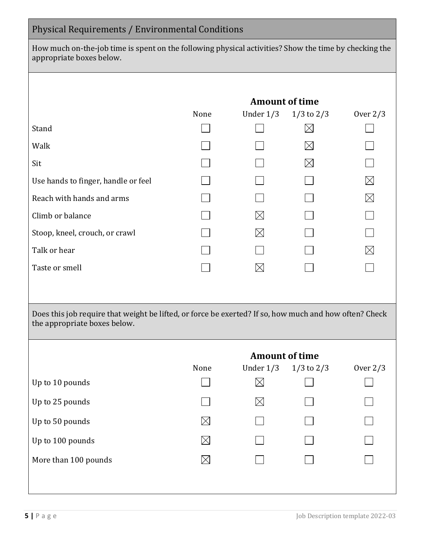# Physical Requirements / Environmental Conditions

How much on-the-job time is spent on the following physical activities? Show the time by checking the appropriate boxes below.

|                                                                                                                                        | <b>Amount of time</b> |                             |                |             |  |  |  |
|----------------------------------------------------------------------------------------------------------------------------------------|-----------------------|-----------------------------|----------------|-------------|--|--|--|
|                                                                                                                                        | None                  | Under $1/3$                 | $1/3$ to $2/3$ | Over $2/3$  |  |  |  |
| Stand                                                                                                                                  |                       |                             | $\boxtimes$    |             |  |  |  |
| Walk                                                                                                                                   |                       |                             | $\boxtimes$    |             |  |  |  |
| Sit                                                                                                                                    |                       |                             | $\boxtimes$    |             |  |  |  |
| Use hands to finger, handle or feel                                                                                                    |                       |                             |                | $\boxtimes$ |  |  |  |
| Reach with hands and arms                                                                                                              |                       |                             |                | $\boxtimes$ |  |  |  |
| Climb or balance                                                                                                                       |                       | $\times$                    |                |             |  |  |  |
| Stoop, kneel, crouch, or crawl                                                                                                         |                       | $\times$                    |                |             |  |  |  |
| Talk or hear                                                                                                                           |                       |                             |                | $\boxtimes$ |  |  |  |
| Taste or smell                                                                                                                         |                       | $\boxtimes$                 |                |             |  |  |  |
|                                                                                                                                        |                       |                             |                |             |  |  |  |
|                                                                                                                                        |                       |                             |                |             |  |  |  |
| Does this job require that weight be lifted, or force be exerted? If so, how much and how often? Check<br>the appropriate boxes below. |                       |                             |                |             |  |  |  |
|                                                                                                                                        | <b>Amount of time</b> |                             |                |             |  |  |  |
|                                                                                                                                        | None                  | Under $1/3$                 | $1/3$ to $2/3$ | Over $2/3$  |  |  |  |
| Up to 10 pounds                                                                                                                        |                       | $\boxtimes$ and $\boxtimes$ | $\Box$         |             |  |  |  |
| Up to 25 pounds                                                                                                                        |                       |                             |                |             |  |  |  |
| Up to 50 pounds                                                                                                                        | $\boxtimes$           |                             |                |             |  |  |  |
| Up to 100 pounds                                                                                                                       | $\boxtimes$           |                             |                |             |  |  |  |
| More than 100 pounds                                                                                                                   | $\boxtimes$           |                             |                |             |  |  |  |
|                                                                                                                                        |                       |                             |                |             |  |  |  |
|                                                                                                                                        |                       |                             |                |             |  |  |  |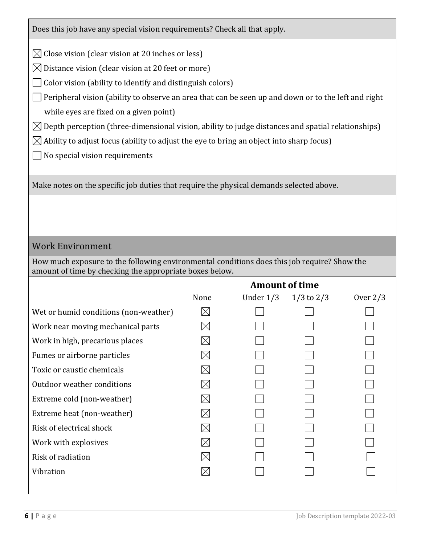Does this job have any special vision requirements? Check all that apply.

 $\boxtimes$  Close vision (clear vision at 20 inches or less)

 $\boxtimes$  Distance vision (clear vision at 20 feet or more)

 $\Box$  Color vision (ability to identify and distinguish colors)

 $\Box$  Peripheral vision (ability to observe an area that can be seen up and down or to the left and right while eyes are fixed on a given point)

 $\boxtimes$  Depth perception (three-dimensional vision, ability to judge distances and spatial relationships)

 $\boxtimes$  Ability to adjust focus (ability to adjust the eye to bring an object into sharp focus)

 $\Box$  No special vision requirements

Make notes on the specific job duties that require the physical demands selected above.

# Work Environment

How much exposure to the following environmental conditions does this job require? Show the amount of time by checking the appropriate boxes below.

**Amount of time**

|                                       | <i><b>THROUGHT OF GIRLS</b></i> |             |                |            |  |
|---------------------------------------|---------------------------------|-------------|----------------|------------|--|
|                                       | None                            | Under $1/3$ | $1/3$ to $2/3$ | Over $2/3$ |  |
| Wet or humid conditions (non-weather) | $\boxtimes$                     |             |                |            |  |
| Work near moving mechanical parts     | $\boxtimes$                     |             |                |            |  |
| Work in high, precarious places       | $\boxtimes$                     |             |                |            |  |
| Fumes or airborne particles           | $\boxtimes$                     |             |                |            |  |
| Toxic or caustic chemicals            | $\boxtimes$                     |             |                |            |  |
| Outdoor weather conditions            | $\boxtimes$                     |             |                |            |  |
| Extreme cold (non-weather)            | $\boxtimes$                     |             |                |            |  |
| Extreme heat (non-weather)            | $\boxtimes$                     |             |                |            |  |
| Risk of electrical shock              | $\boxtimes$                     |             |                |            |  |
| Work with explosives                  | $\boxtimes$                     |             |                |            |  |
| Risk of radiation                     | $\boxtimes$                     |             |                |            |  |
| Vibration                             | $\boxtimes$                     |             |                |            |  |
|                                       |                                 |             |                |            |  |